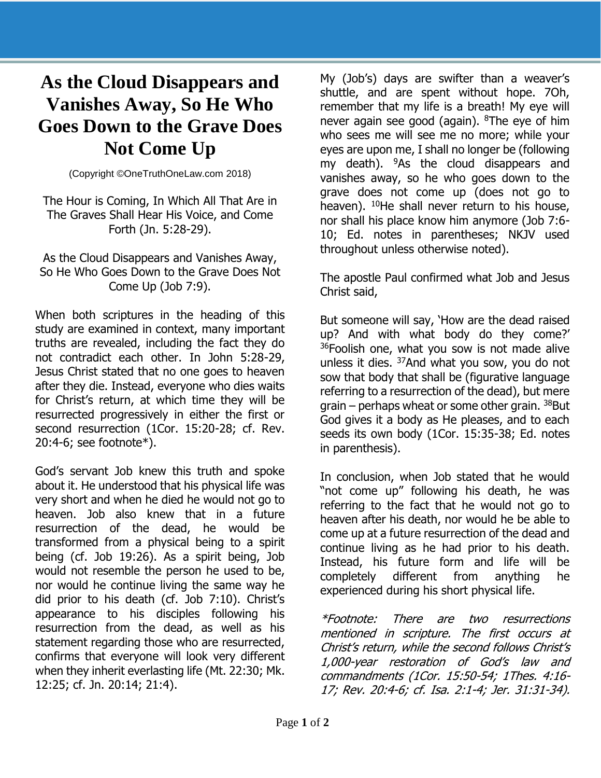## **As the Cloud Disappears and Vanishes Away, So He Who Goes Down to the Grave Does Not Come Up**

(Copyright ©OneTruthOneLaw.com 2018)

The Hour is Coming, In Which All That Are in The Graves Shall Hear His Voice, and Come Forth (Jn. 5:28-29).

## As the Cloud Disappears and Vanishes Away, So He Who Goes Down to the Grave Does Not Come Up (Job 7:9).

When both scriptures in the heading of this study are examined in context, many important truths are revealed, including the fact they do not contradict each other. In John 5:28-29, Jesus Christ stated that no one goes to heaven after they die. Instead, everyone who dies waits for Christ's return, at which time they will be resurrected progressively in either the first or second resurrection (1Cor. 15:20-28; cf. Rev. 20:4-6; see footnote\*).

God's servant Job knew this truth and spoke about it. He understood that his physical life was very short and when he died he would not go to heaven. Job also knew that in a future resurrection of the dead, he would be transformed from a physical being to a spirit being (cf. Job 19:26). As a spirit being, Job would not resemble the person he used to be, nor would he continue living the same way he did prior to his death (cf. Job 7:10). Christ's appearance to his disciples following his resurrection from the dead, as well as his statement regarding those who are resurrected, confirms that everyone will look very different when they inherit everlasting life (Mt. 22:30; Mk. 12:25; cf. Jn. 20:14; 21:4).

My (Job's) days are swifter than a weaver's shuttle, and are spent without hope. 7Oh, remember that my life is a breath! My eye will never again see good (again).  $8$ The eye of him who sees me will see me no more; while your eyes are upon me, I shall no longer be (following my death).  $9$ As the cloud disappears and vanishes away, so he who goes down to the grave does not come up (does not go to heaven).  $10$ He shall never return to his house, nor shall his place know him anymore (Job 7:6- 10; Ed. notes in parentheses; NKJV used throughout unless otherwise noted).

The apostle Paul confirmed what Job and Jesus Christ said,

But someone will say, 'How are the dead raised up? And with what body do they come?' <sup>36</sup>Foolish one, what you sow is not made alive unless it dies. <sup>37</sup>And what you sow, you do not sow that body that shall be (figurative language referring to a resurrection of the dead), but mere grain – perhaps wheat or some other grain.  $38$ But God gives it a body as He pleases, and to each seeds its own body (1Cor. 15:35-38; Ed. notes in parenthesis).

In conclusion, when Job stated that he would "not come up" following his death, he was referring to the fact that he would not go to heaven after his death, nor would he be able to come up at a future resurrection of the dead and continue living as he had prior to his death. Instead, his future form and life will be completely different from anything he experienced during his short physical life.

\*Footnote: There are two resurrections mentioned in scripture. The first occurs at Christ's return, while the second follows Christ's 1,000-year restoration of God's law and commandments (1Cor. 15:50-54; 1Thes. 4:16- 17; Rev. 20:4-6; cf. Isa. 2:1-4; Jer. 31:31-34).